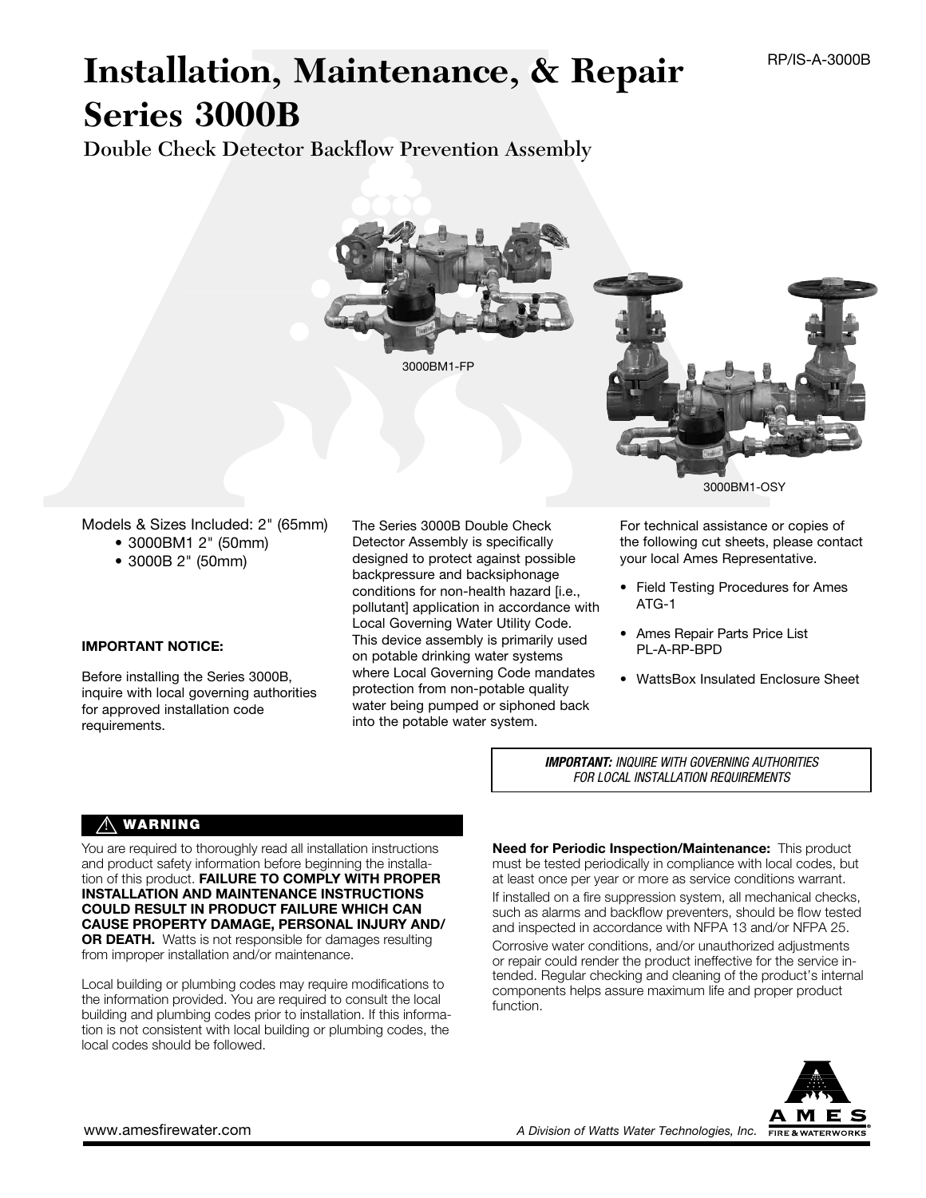# **Installation, Maintenance, & Repair Series 3000B**

Double Check Detector Backflow Prevention Assembly



Models & Sizes Included: 2" (65mm) • 3000BM1 2" (50mm)

 • 3000B 2" (50mm)

#### IMPORTANT NOTICE:

Before installing the Series 3000B, inquire with local governing authorities for approved installation code requirements.

The Series 3000B Double Check Detector Assembly is specifically designed to protect against possible backpressure and backsiphonage conditions for non-health hazard [i.e., pollutant] application in accordance with Local Governing Water Utility Code. This device assembly is primarily used on potable drinking water systems where Local Governing Code mandates protection from non-potable quality water being pumped or siphoned back into the potable water system.

For technical assistance or copies of the following cut sheets, please contact your local Ames Representative.

- Field Testing Procedures for Ames ATG-1
- • Ames Repair Parts Price List PL-A-RP-BPD
- WattsBox Insulated Enclosure Sheet

*IMPORTANT: INQUIRE WITH GOVERNING AUTHORITIES FOR LOCAL INSTALLATION REQUIREMENTS*

### $\triangle$  WARNING

You are required to thoroughly read all installation instructions and product safety information before beginning the installation of this product. FAILURE TO COMPLY WITH PROPER INSTALLATION AND MAINTENANCE INSTRUCTIONS COULD RESULT IN PRODUCT FAILURE WHICH CAN CAUSE PROPERTY DAMAGE, PERSONAL INJURY AND/ OR DEATH. Watts is not responsible for damages resulting from improper installation and/or maintenance.

Local building or plumbing codes may require modifications to the information provided. You are required to consult the local building and plumbing codes prior to installation. If this information is not consistent with local building or plumbing codes, the local codes should be followed.

Need for Periodic Inspection/Maintenance: This product must be tested periodically in compliance with local codes, but at least once per year or more as service conditions warrant. If installed on a fire suppression system, all mechanical checks, such as alarms and backflow preventers, should be flow tested and inspected in accordance with NFPA 13 and/or NFPA 25. Corrosive water conditions, and/or unauthorized adjustments or repair could render the product ineffective for the service intended. Regular checking and cleaning of the product's internal components helps assure maximum life and proper product function.

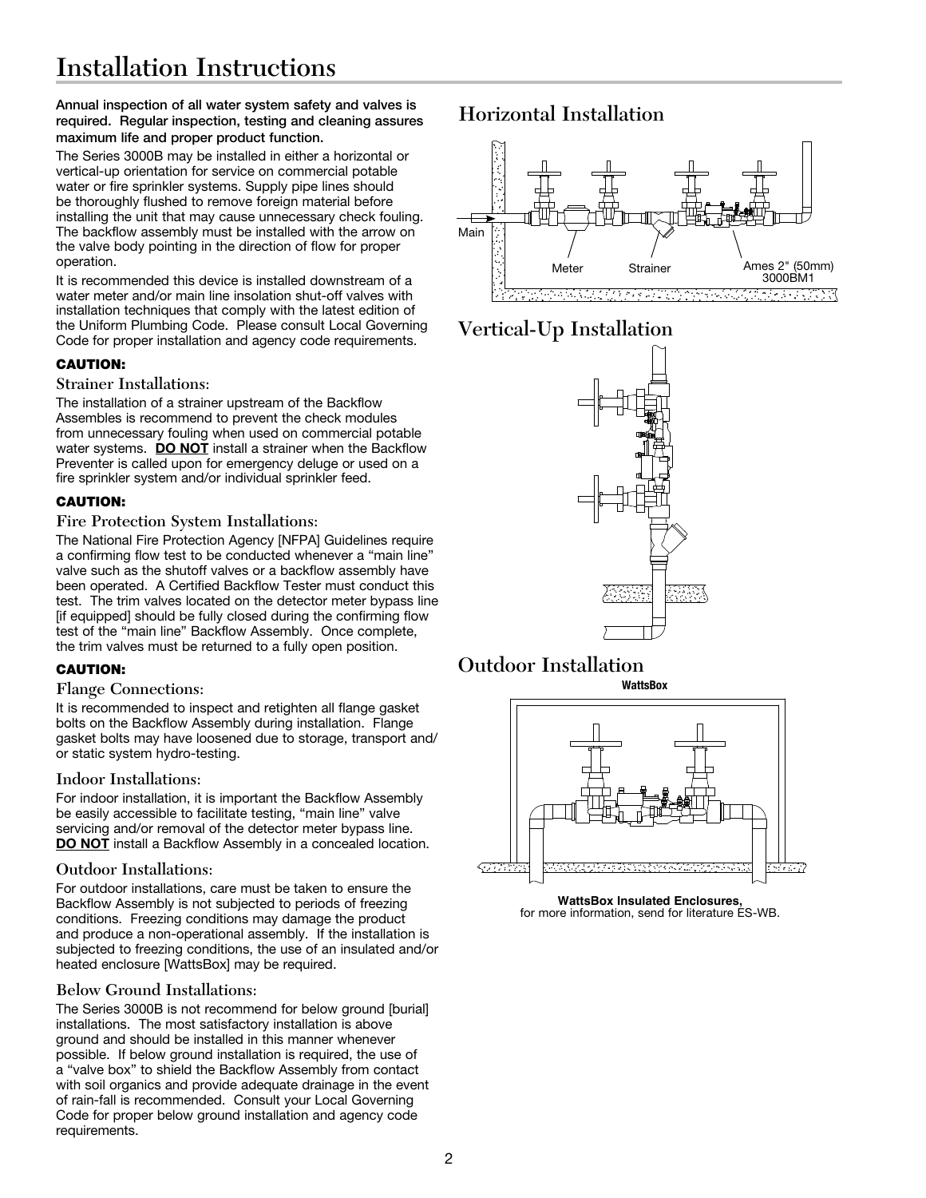Annual inspection of all water system safety and valves is required. Regular inspection, testing and cleaning assures maximum life and proper product function.

The Series 3000B may be installed in either a horizontal or vertical-up orientation for service on commercial potable water or fire sprinkler systems. Supply pipe lines should be thoroughly flushed to remove foreign material before installing the unit that may cause unnecessary check fouling. The backflow assembly must be installed with the arrow on the valve body pointing in the direction of flow for proper operation.

It is recommended this device is installed downstream of a water meter and/or main line insolation shut-off valves with installation techniques that comply with the latest edition of the Uniform Plumbing Code. Please consult Local Governing Code for proper installation and agency code requirements.

#### CAUTION:

#### Strainer Installations:

The installation of a strainer upstream of the Backflow Assembles is recommend to prevent the check modules from unnecessary fouling when used on commercial potable water systems. DO NOT install a strainer when the Backflow Preventer is called upon for emergency deluge or used on a fire sprinkler system and/or individual sprinkler feed.

#### CAUTION:

#### Fire Protection System Installations:

The National Fire Protection Agency [NFPA] Guidelines require a confirming flow test to be conducted whenever a "main line" valve such as the shutoff valves or a backflow assembly have been operated. A Certified Backflow Tester must conduct this test. The trim valves located on the detector meter bypass line [if equipped] should be fully closed during the confirming flow test of the "main line" Backflow Assembly. Once complete, the trim valves must be returned to a fully open position.

#### CAUTION:

#### Flange Connections:

It is recommended to inspect and retighten all flange gasket bolts on the Backflow Assembly during installation. Flange gasket bolts may have loosened due to storage, transport and/ or static system hydro-testing.

#### Indoor Installations:

For indoor installation, it is important the Backflow Assembly be easily accessible to facilitate testing, "main line" valve servicing and/or removal of the detector meter bypass line. DO NOT install a Backflow Assembly in a concealed location.

#### Outdoor Installations:

For outdoor installations, care must be taken to ensure the Backflow Assembly is not subjected to periods of freezing conditions. Freezing conditions may damage the product and produce a non-operational assembly. If the installation is subjected to freezing conditions, the use of an insulated and/or heated enclosure [WattsBox] may be required.

#### Below Ground Installations:

The Series 3000B is not recommend for below ground [burial] installations. The most satisfactory installation is above ground and should be installed in this manner whenever possible. If below ground installation is required, the use of a "valve box" to shield the Backflow Assembly from contact with soil organics and provide adequate drainage in the event of rain-fall is recommended. Consult your Local Governing Code for proper below ground installation and agency code requirements.

## Horizontal Installation



# Vertical-Up Installation



#### Outdoor Installation **WattsBox**



for more information, send for literature ES-WB.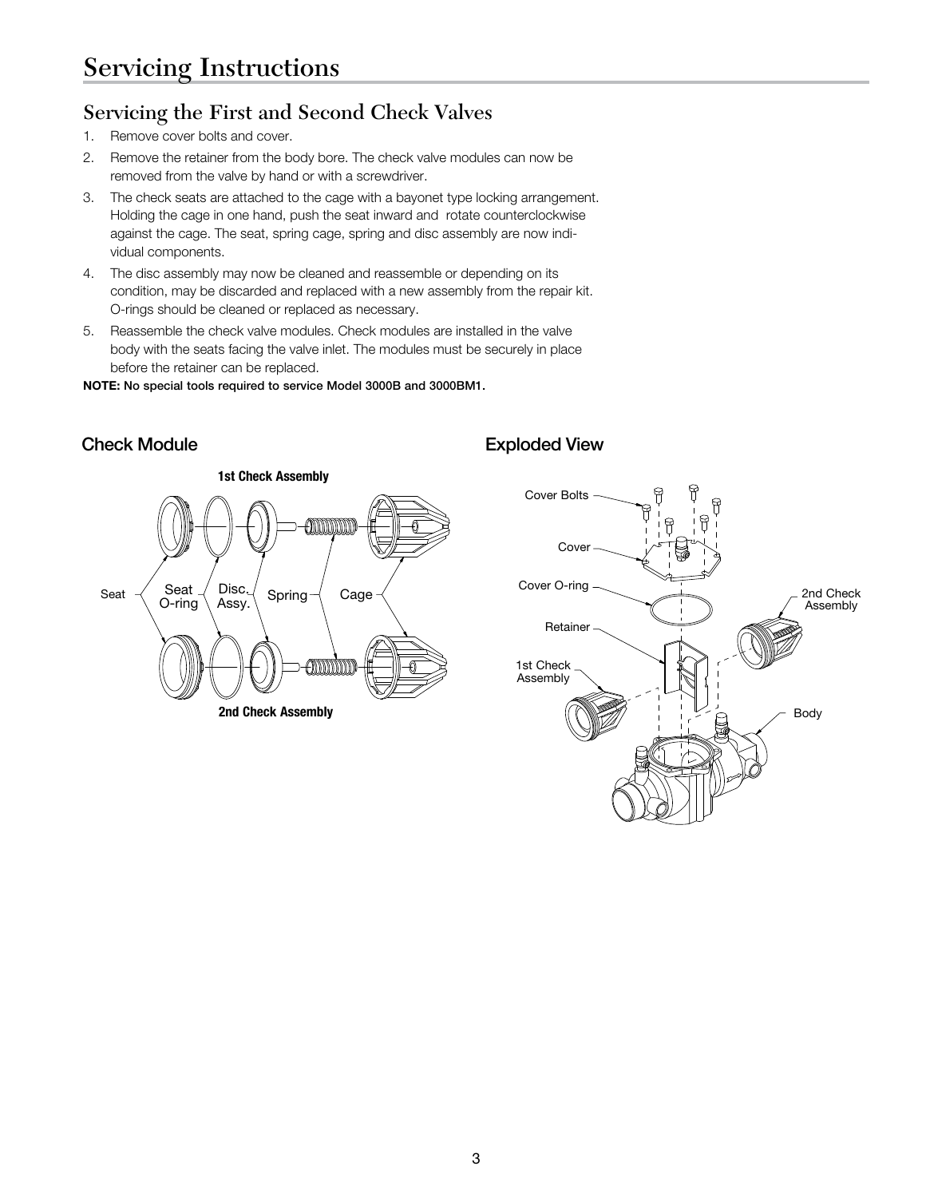# Servicing the First and Second Check Valves

- 1. Remove cover bolts and cover.
- 2. Remove the retainer from the body bore. The check valve modules can now be removed from the valve by hand or with a screwdriver.
- 3. The check seats are attached to the cage with a bayonet type locking arrangement. Holding the cage in one hand, push the seat inward and rotate counterclockwise against the cage. The seat, spring cage, spring and disc assembly are now individual components.
- 4. The disc assembly may now be cleaned and reassemble or depending on its condition, may be discarded and replaced with a new assembly from the repair kit. O-rings should be cleaned or replaced as necessary.
- 5. Reassemble the check valve modules. Check modules are installed in the valve body with the seats facing the valve inlet. The modules must be securely in place before the retainer can be replaced.

NOTE: No special tools required to service Model 3000B and 3000BM1.



## Check Module **Exploded View**